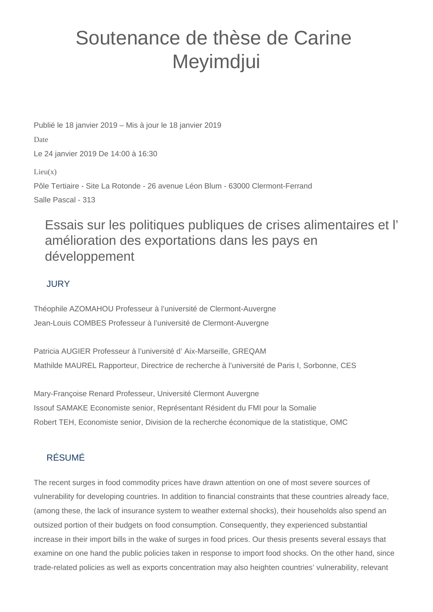# Soutenance de thèse de Carine Meyimdjui

Publié le 18 janvier 2019 – Mis à jour le 18 janvier 2019 Date Le 24 janvier 2019 De 14:00 à 16:30  $Lieu(x)$ Pôle Tertiaire - Site La Rotonde - 26 avenue Léon Blum - 63000 Clermont-Ferrand Salle Pascal - 313

## Essais sur les politiques publiques de crises alimentaires et l' amélioration des exportations dans les pays en développement

#### **JURY**

Théophile AZOMAHOU Professeur à l'université de Clermont-Auvergne Jean-Louis COMBES Professeur à l'université de Clermont-Auvergne

Patricia AUGIER Professeur à l'université d' Aix-Marseille, GREQAM Mathilde MAUREL Rapporteur, Directrice de recherche à l'université de Paris I, Sorbonne, CES

Mary-Françoise Renard Professeur, Université Clermont Auvergne Issouf SAMAKE Economiste senior, Représentant Résident du FMI pour la Somalie Robert TEH, Economiste senior, Division de la recherche économique de la statistique, OMC

### RÉSUMÉ

The recent surges in food commodity prices have drawn attention on one of most severe sources of vulnerability for developing countries. In addition to financial constraints that these countries already face, (among these, the lack of insurance system to weather external shocks), their households also spend an outsized portion of their budgets on food consumption. Consequently, they experienced substantial increase in their import bills in the wake of surges in food prices. Our thesis presents several essays that examine on one hand the public policies taken in response to import food shocks. On the other hand, since trade-related policies as well as exports concentration may also heighten countries' vulnerability, relevant